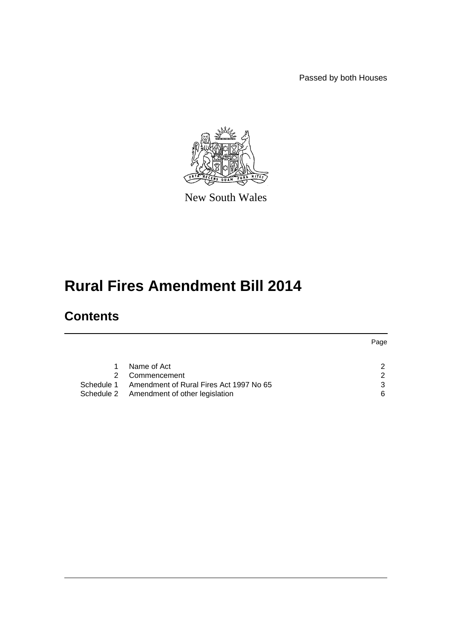Passed by both Houses



New South Wales

# **Rural Fires Amendment Bill 2014**

## **Contents**

|            |                                           | Page          |  |
|------------|-------------------------------------------|---------------|--|
|            |                                           |               |  |
|            | Name of Act                               | 2             |  |
| 2          | Commencement                              | $\mathcal{P}$ |  |
| Schedule 1 | Amendment of Rural Fires Act 1997 No 65   | 3             |  |
|            | Schedule 2 Amendment of other legislation | 6             |  |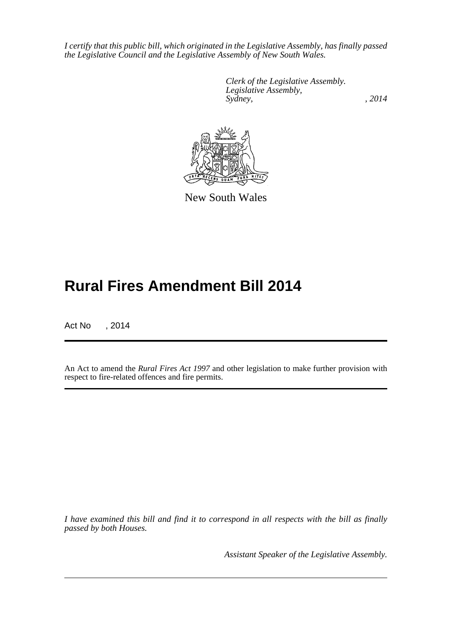*I certify that this public bill, which originated in the Legislative Assembly, has finally passed the Legislative Council and the Legislative Assembly of New South Wales.*

> *Clerk of the Legislative Assembly. Legislative Assembly, Sydney,* , 2014



New South Wales

## **Rural Fires Amendment Bill 2014**

Act No , 2014

An Act to amend the *Rural Fires Act 1997* and other legislation to make further provision with respect to fire-related offences and fire permits.

*I have examined this bill and find it to correspond in all respects with the bill as finally passed by both Houses.*

*Assistant Speaker of the Legislative Assembly.*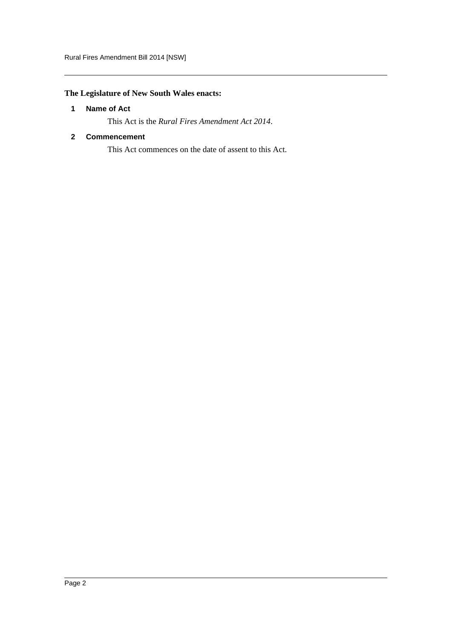#### <span id="page-2-0"></span>**The Legislature of New South Wales enacts:**

#### **1 Name of Act**

This Act is the *Rural Fires Amendment Act 2014*.

#### <span id="page-2-1"></span>**2 Commencement**

This Act commences on the date of assent to this Act.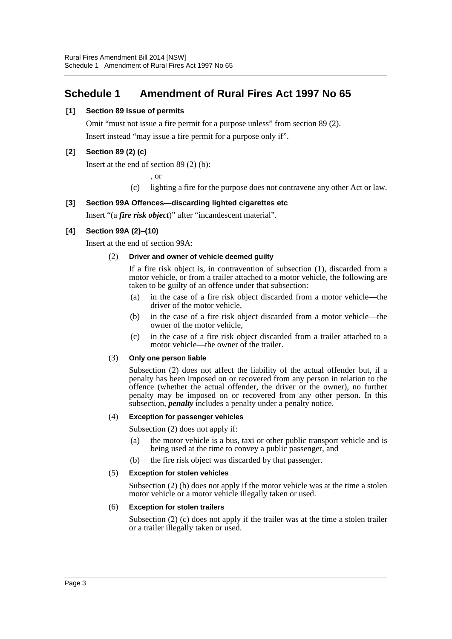### <span id="page-3-0"></span>**Schedule 1 Amendment of Rural Fires Act 1997 No 65**

#### **[1] Section 89 Issue of permits**

Omit "must not issue a fire permit for a purpose unless" from section 89 (2). Insert instead "may issue a fire permit for a purpose only if".

#### **[2] Section 89 (2) (c)**

Insert at the end of section 89 (2) (b):

, or

(c) lighting a fire for the purpose does not contravene any other Act or law.

#### **[3] Section 99A Offences—discarding lighted cigarettes etc**

Insert "(a *fire risk object*)" after "incandescent material".

#### **[4] Section 99A (2)–(10)**

Insert at the end of section 99A:

#### (2) **Driver and owner of vehicle deemed guilty**

If a fire risk object is, in contravention of subsection (1), discarded from a motor vehicle, or from a trailer attached to a motor vehicle, the following are taken to be guilty of an offence under that subsection:

- (a) in the case of a fire risk object discarded from a motor vehicle—the driver of the motor vehicle,
- (b) in the case of a fire risk object discarded from a motor vehicle—the owner of the motor vehicle,
- (c) in the case of a fire risk object discarded from a trailer attached to a motor vehicle—the owner of the trailer.

#### (3) **Only one person liable**

Subsection (2) does not affect the liability of the actual offender but, if a penalty has been imposed on or recovered from any person in relation to the offence (whether the actual offender, the driver or the owner), no further penalty may be imposed on or recovered from any other person. In this subsection, *penalty* includes a penalty under a penalty notice.

#### (4) **Exception for passenger vehicles**

Subsection (2) does not apply if:

- (a) the motor vehicle is a bus, taxi or other public transport vehicle and is being used at the time to convey a public passenger, and
- (b) the fire risk object was discarded by that passenger.

#### (5) **Exception for stolen vehicles**

Subsection (2) (b) does not apply if the motor vehicle was at the time a stolen motor vehicle or a motor vehicle illegally taken or used.

#### (6) **Exception for stolen trailers**

Subsection (2) (c) does not apply if the trailer was at the time a stolen trailer or a trailer illegally taken or used.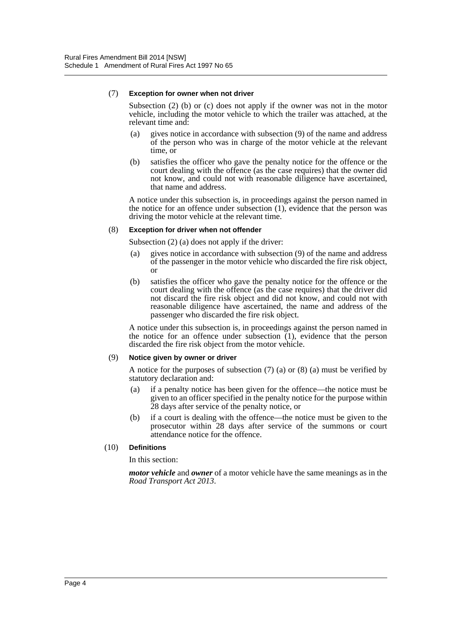#### (7) **Exception for owner when not driver**

Subsection (2) (b) or (c) does not apply if the owner was not in the motor vehicle, including the motor vehicle to which the trailer was attached, at the relevant time and:

- (a) gives notice in accordance with subsection (9) of the name and address of the person who was in charge of the motor vehicle at the relevant time, or
- (b) satisfies the officer who gave the penalty notice for the offence or the court dealing with the offence (as the case requires) that the owner did not know, and could not with reasonable diligence have ascertained, that name and address.

A notice under this subsection is, in proceedings against the person named in the notice for an offence under subsection (1), evidence that the person was driving the motor vehicle at the relevant time.

#### (8) **Exception for driver when not offender**

Subsection (2) (a) does not apply if the driver:

- (a) gives notice in accordance with subsection (9) of the name and address of the passenger in the motor vehicle who discarded the fire risk object, or
- (b) satisfies the officer who gave the penalty notice for the offence or the court dealing with the offence (as the case requires) that the driver did not discard the fire risk object and did not know, and could not with reasonable diligence have ascertained, the name and address of the passenger who discarded the fire risk object.

A notice under this subsection is, in proceedings against the person named in the notice for an offence under subsection (1), evidence that the person discarded the fire risk object from the motor vehicle.

#### (9) **Notice given by owner or driver**

A notice for the purposes of subsection  $(7)$  (a) or  $(8)$  (a) must be verified by statutory declaration and:

- (a) if a penalty notice has been given for the offence—the notice must be given to an officer specified in the penalty notice for the purpose within 28 days after service of the penalty notice, or
- (b) if a court is dealing with the offence—the notice must be given to the prosecutor within 28 days after service of the summons or court attendance notice for the offence.

#### (10) **Definitions**

In this section:

*motor vehicle* and *owner* of a motor vehicle have the same meanings as in the *Road Transport Act 2013*.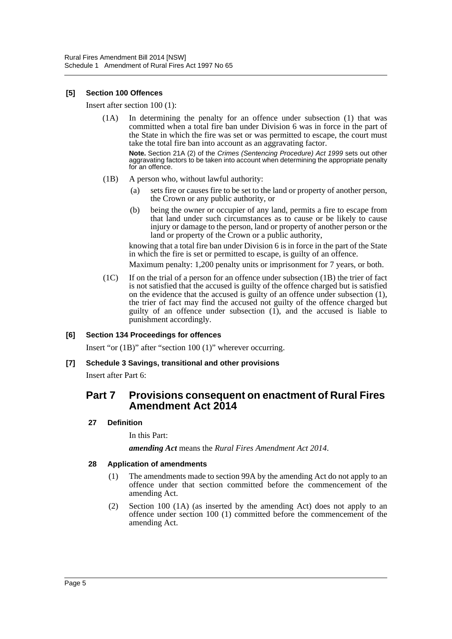#### **[5] Section 100 Offences**

Insert after section 100 (1):

(1A) In determining the penalty for an offence under subsection (1) that was committed when a total fire ban under Division 6 was in force in the part of the State in which the fire was set or was permitted to escape, the court must take the total fire ban into account as an aggravating factor.

**Note.** Section 21A (2) of the *Crimes (Sentencing Procedure) Act 1999* sets out other aggravating factors to be taken into account when determining the appropriate penalty for an offence.

- (1B) A person who, without lawful authority:
	- (a) sets fire or causes fire to be set to the land or property of another person, the Crown or any public authority, or
	- (b) being the owner or occupier of any land, permits a fire to escape from that land under such circumstances as to cause or be likely to cause injury or damage to the person, land or property of another person or the land or property of the Crown or a public authority,

knowing that a total fire ban under Division 6 is in force in the part of the State in which the fire is set or permitted to escape, is guilty of an offence.

Maximum penalty: 1,200 penalty units or imprisonment for 7 years, or both.

(1C) If on the trial of a person for an offence under subsection (1B) the trier of fact is not satisfied that the accused is guilty of the offence charged but is satisfied on the evidence that the accused is guilty of an offence under subsection (1), the trier of fact may find the accused not guilty of the offence charged but guilty of an offence under subsection (1), and the accused is liable to punishment accordingly.

#### **[6] Section 134 Proceedings for offences**

Insert "or (1B)" after "section 100 (1)" wherever occurring.

#### **[7] Schedule 3 Savings, transitional and other provisions**

Insert after Part 6:

### **Part 7 Provisions consequent on enactment of Rural Fires Amendment Act 2014**

#### **27 Definition**

In this Part:

*amending Act* means the *Rural Fires Amendment Act 2014*.

#### **28 Application of amendments**

- (1) The amendments made to section 99A by the amending Act do not apply to an offence under that section committed before the commencement of the amending Act.
- (2) Section 100 (1A) (as inserted by the amending Act) does not apply to an offence under section 100 (1) committed before the commencement of the amending Act.